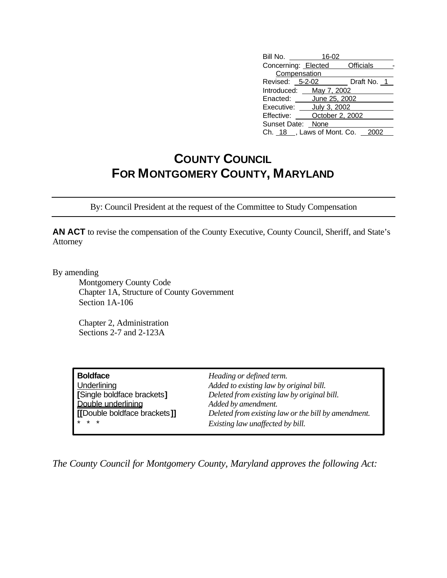| Bill No.                     | 16-02           |               |
|------------------------------|-----------------|---------------|
| Concerning: Elected          |                 | Officials     |
| Compensation                 |                 |               |
| Revised: 5-2-02              |                 | Draft No. $1$ |
| Introduced: May 7, 2002      |                 |               |
| Enacted: June 25, 2002       |                 |               |
| Executive: ____ July 3, 2002 |                 |               |
| Effective:                   | October 2, 2002 |               |
| Sunset Date: None            |                 |               |
| Ch. $18$ , Laws of Mont. Co. |                 |               |

## **COUNTY COUNCIL FOR MONTGOMERY COUNTY, MARYLAND**

By: Council President at the request of the Committee to Study Compensation

**AN ACT** to revise the compensation of the County Executive, County Council, Sheriff, and State's Attorney

By amending

Montgomery County Code Chapter 1A, Structure of County Government Section 1A-106

Chapter 2, Administration Sections 2-7 and 2-123A

| <b>Boldface</b>              | Heading or defined term.                            |
|------------------------------|-----------------------------------------------------|
| Underlining                  | Added to existing law by original bill.             |
| [Single boldface brackets]   | Deleted from existing law by original bill.         |
| Double underlining           | Added by amendment.                                 |
| [[Double boldface brackets]] | Deleted from existing law or the bill by amendment. |
| $* * *$                      | Existing law unaffected by bill.                    |

*The County Council for Montgomery County, Maryland approves the following Act:*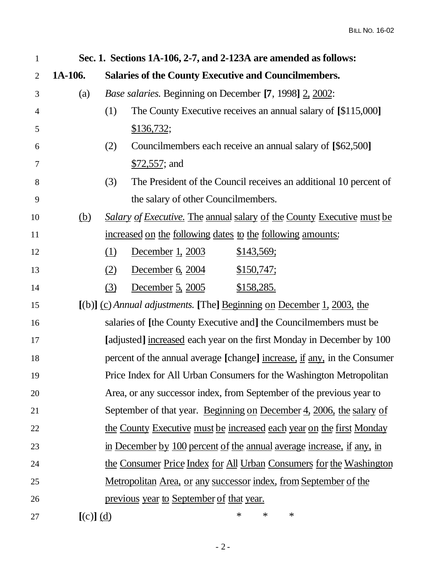| $\mathbf{1}$   | Sec. 1. Sections 1A-106, 2-7, and 2-123A are amended as follows:         |                                                                          |  |
|----------------|--------------------------------------------------------------------------|--------------------------------------------------------------------------|--|
| $\overline{2}$ | 1A-106.                                                                  | <b>Salaries of the County Executive and Councilmembers.</b>              |  |
| 3              | (a)                                                                      | <i>Base salaries.</i> Beginning on December [7, 1998] 2, 2002:           |  |
| $\overline{4}$ |                                                                          | The County Executive receives an annual salary of [\$115,000]<br>(1)     |  |
| 5              |                                                                          | \$136,732;                                                               |  |
| 6              |                                                                          | Councilmembers each receive an annual salary of [\$62,500]<br>(2)        |  |
| 7              |                                                                          | $$72,557$ ; and                                                          |  |
| 8              |                                                                          | The President of the Council receives an additional 10 percent of<br>(3) |  |
| 9              |                                                                          | the salary of other Councilmembers.                                      |  |
| 10             | <u>(b)</u>                                                               | Salary of Executive. The annual salary of the County Executive must be   |  |
| 11             | increased on the following dates to the following amounts:               |                                                                          |  |
| 12             |                                                                          | December 1, 2003<br><u>\$143,569;</u><br>(1)                             |  |
| 13             |                                                                          | December 6, 2004<br>\$150,747;<br>(2)                                    |  |
| 14             |                                                                          | (3)<br>December 5, 2005<br><u>\$158,285.</u>                             |  |
| 15             | $[(b)]$ (c) Annual adjustments. [The] Beginning on December 1, 2003, the |                                                                          |  |
| 16             | salaries of [the County Executive and] the Councilmembers must be        |                                                                          |  |
| 17             | [adjusted] increased each year on the first Monday in December by 100    |                                                                          |  |
| 18             | percent of the annual average [change] increase, if any, in the Consumer |                                                                          |  |
| 19             | Price Index for All Urban Consumers for the Washington Metropolitan      |                                                                          |  |
| 20             | Area, or any successor index, from September of the previous year to     |                                                                          |  |
| 21             | September of that year. Beginning on December 4, 2006, the salary of     |                                                                          |  |
| 22             | the County Executive must be increased each year on the first Monday     |                                                                          |  |
| 23             | in December by 100 percent of the annual average increase, if any, in    |                                                                          |  |
| 24             | the Consumer Price Index for All Urban Consumers for the Washington      |                                                                          |  |
| 25             | <u>Metropolitan Area, or any successor index, from September of the</u>  |                                                                          |  |
| 26             | <u>previous year to September of that year.</u>                          |                                                                          |  |
| 27             | $[(c)]$ $(d)$                                                            | $\ast$<br>$\ast$<br>∗                                                    |  |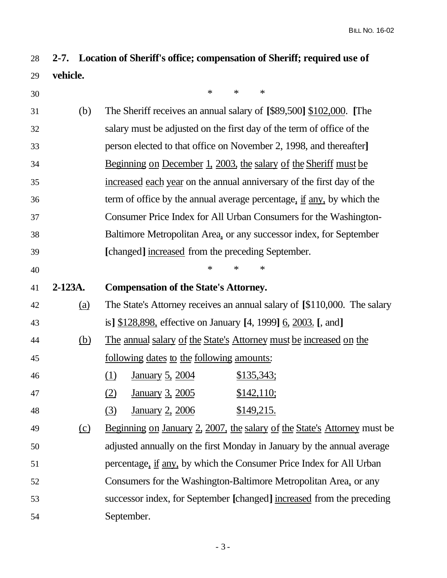**2-7. Location of Sheriff's office; compensation of Sheriff; required use of vehicle.**

| 30 |            | $\ast$<br>$\ast$<br>$\ast$                                                    |  |
|----|------------|-------------------------------------------------------------------------------|--|
| 31 | (b)        | The Sheriff receives an annual salary of [\$89,500] \$102,000. [The           |  |
| 32 |            | salary must be adjusted on the first day of the term of office of the         |  |
| 33 |            | person elected to that office on November 2, 1998, and thereafter]            |  |
| 34 |            | <u>Beginning on December 1, 2003, the salary of the Sheriff must be</u>       |  |
| 35 |            | increased each year on the annual anniversary of the first day of the         |  |
| 36 |            | term of office by the annual average percentage, <u>if any</u> , by which the |  |
| 37 |            | Consumer Price Index for All Urban Consumers for the Washington-              |  |
| 38 |            | Baltimore Metropolitan Area, or any successor index, for September            |  |
| 39 |            | [changed] increased from the preceding September.                             |  |
| 40 |            | ∗<br>$\ast$<br>∗                                                              |  |
| 41 | $2-123A.$  | <b>Compensation of the State's Attorney.</b>                                  |  |
| 42 | (a)        | The State's Attorney receives an annual salary of [\$110,000. The salary      |  |
| 43 |            | is] \$128,898, effective on January [4, 1999] 6, 2003. [, and]                |  |
| 44 | <u>(b)</u> | <u>The annual salary of the State's Attorney must be increased on the</u>     |  |
| 45 |            | <u>following dates to the following amounts:</u>                              |  |
| 46 |            | <u>\$135,343;</u><br>(1)<br><u>January 5, 2004</u>                            |  |
| 47 |            | <u>January 3, 2005</u><br>\$142,110;<br>(2)                                   |  |
| 48 |            | \$149,215.<br>(3)<br><u>January 2, 2006</u>                                   |  |
| 49 | (c)        | Beginning on January 2, 2007, the salary of the State's Attorney must be      |  |
| 50 |            | adjusted annually on the first Monday in January by the annual average        |  |
| 51 |            | percentage, if any, by which the Consumer Price Index for All Urban           |  |
| 52 |            | Consumers for the Washington-Baltimore Metropolitan Area, or any              |  |
| 53 |            | successor index, for September [changed] increased from the preceding         |  |
| 54 |            | September.                                                                    |  |